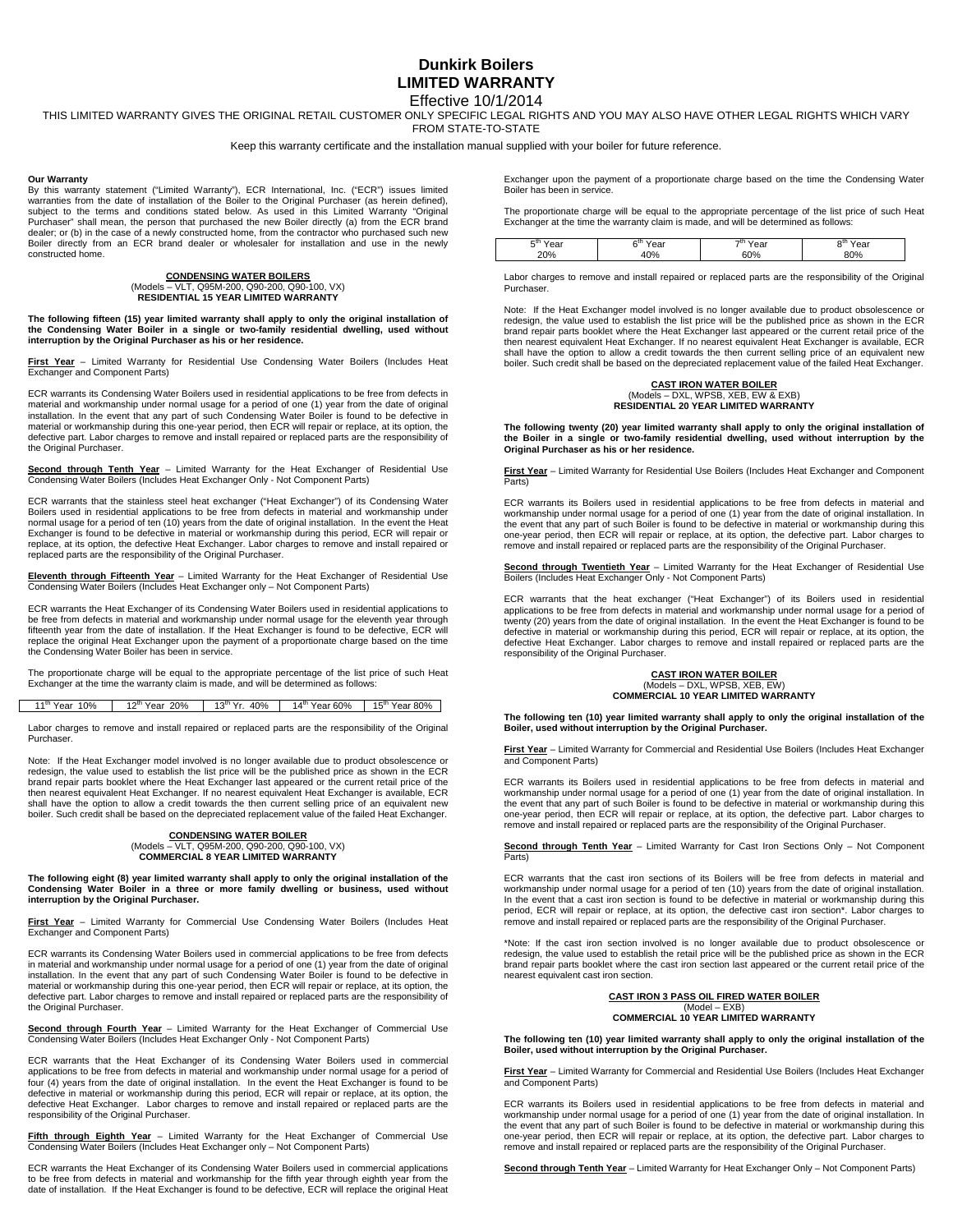# **Dunkirk Boilers LIMITED WARRANTY**  Effective 10/1/2014

THIS LIMITED WARRANTY GIVES THE ORIGINAL RETAIL CUSTOMER ONLY SPECIFIC LEGAL RIGHTS AND YOU MAY ALSO HAVE OTHER LEGAL RIGHTS WHICH VARY

FROM STATE-TO-STATE

Keep this warranty certificate and the installation manual supplied with your boiler for future reference.

### **Our Warranty**

By this warranty statement ("Limited Warranty"), ECR International, Inc. ("ECR") issues limited warranties from the date of installation of the Boiler to the Original Purchaser (as herein defined), subject to the terms and conditions stated below. As used in this Limited Warranty "Original Purchaser" shall mean, the person that purchased the new Boiler directly (a) from the ECR brand dealer; or (b) in the case of a newly constructed home, from the contractor who purchased such new Boiler directly from an ECR brand dealer or wholesaler for installation and use in the newly constructed home.

# **CONDENSING WATER BOILERS**  (Models – VLT, Q95M-200, Q90-200, Q90-100, VX) **RESIDENTIAL 15 YEAR LIMITED WARRANTY**

**The following fifteen (15) year limited warranty shall apply to only the original installation of the Condensing Water Boiler in a single or two-family residential dwelling, used without interruption by the Original Purchaser as his or her residence.** 

**First Year** – Limited Warranty for Residential Use Condensing Water Boilers (Includes Heat Exchanger and Component Parts)

ECR warrants its Condensing Water Boilers used in residential applications to be free from defects in material and workmanship under normal usage for a period of one (1) year from the date of original installation. In the event that any part of such Condensing Water Boiler is found to be defective in material or workmanship during this one-year period, then ECR will repair or replace, at its option, the defective part. Labor charges to remove and install repaired or replaced parts are the responsibility of the Original Purchaser.

**Second through Tenth Year** – Limited Warranty for the Heat Exchanger of Residential Use Condensing Water Boilers (Includes Heat Exchanger Only - Not Component Parts)

ECR warrants that the stainless steel heat exchanger ("Heat Exchanger") of its Condensing Water Boilers used in residential applications to be free from defects in material and workmanship under normal usage for a period of ten (10) years from the date of original installation. In the event the Heat Exchanger is found to be defective in material or workmanship during this period, ECR will repair or replace, at its option, the defective Heat Exchanger. Labor charges to remove and install repaired or replaced parts are the responsibility of the Original Purchaser.

**Eleventh through Fifteenth Year** – Limited Warranty for the Heat Exchanger of Residential Use Condensing Water Boilers (Includes Heat Exchanger only – Not Component Parts)

ECR warrants the Heat Exchanger of its Condensing Water Boilers used in residential applications to be free from defects in material and workmanship under normal usage for the eleventh year through fifteenth year from the date of installation. If the Heat Exchanger is found to be defective, ECR will replace the original Heat Exchanger upon the payment of a proportionate charge based on the time the Condensing Water Boiler has been in service.

The proportionate charge will be equal to the appropriate percentage of the list price of such Heat Exchanger at the time the warranty claim is made, and will be determined as follows:

11<sup>th</sup> Year 10% | 12<sup>th</sup> Year 20% | 13<sup>th</sup> Yr. 40% | 14<sup>th</sup> Year 60% | 15<sup>th</sup> Year 80%

Labor charges to remove and install repaired or replaced parts are the responsibility of the Original **Purchaser** 

Note: If the Heat Exchanger model involved is no longer available due to product obsolescence or redesign, the value used to establish the list price will be the published price as shown in the ECR brand repair parts booklet where the Heat Exchanger last appeared or the current retail price of the then nearest equivalent Heat Exchanger. If no nearest equivalent Heat Exchanger is available, ECR shall have the option to allow a credit towards the then current selling price of an equivalent new boiler. Such credit shall be based on the depreciated replacement value of the failed Heat Exchanger.

# **CONDENSING WATER BOILER**  (Models – VLT, Q95M-200, Q90-200, Q90-100, VX) **COMMERCIAL 8 YEAR LIMITED WARRANTY**

**The following eight (8) year limited warranty shall apply to only the original installation of the Condensing Water Boiler in a three or more family dwelling or business, used without interruption by the Original Purchaser.**

**First Year** – Limited Warranty for Commercial Use Condensing Water Boilers (Includes Heat Exchanger and Component Parts)

ECR warrants its Condensing Water Boilers used in commercial applications to be free from defects in material and workmanship under normal usage for a period of one (1) year from the date of original installation. In the event that any part of such Condensing Water Boiler is found to be defective in material or workmanship during this one-year period, then ECR will repair or replace, at its option, the defective part. Labor charges to remove and install repaired or replaced parts are the responsibility of the Original Purchaser.

**Second through Fourth Year** – Limited Warranty for the Heat Exchanger of Commercial Use Condensing Water Boilers (Includes Heat Exchanger Only - Not Component Parts)

ECR warrants that the Heat Exchanger of its Condensing Water Boilers used in commercial applications to be free from defects in material and workmanship under normal usage for a period of four (4) years from the date of original installation. In the event the Heat Exchanger is found to be defective in material or workmanship during this period, ECR will repair or replace, at its option, the defective Heat Exchanger. Labor charges to remove and install repaired or replaced parts are the responsibility of the Original Purchaser.

**Fifth through Eighth Year** – Limited Warranty for the Heat Exchanger of Commercial Use Condensing Water Boilers (Includes Heat Exchanger only – Not Component Parts)

ECR warrants the Heat Exchanger of its Condensing Water Boilers used in commercial applications to be free from defects in material and workmanship for the fifth year through eighth year from the date of installation. If the Heat Exchanger is found to be defective, ECR will replace the original Heat Exchanger upon the payment of a proportionate charge based on the time the Condensing Water Boiler has been in service.

The proportionate charge will be equal to the appropriate percentage of the list price of such Heat Exchanger at the time the warranty claim is made, and will be determined as follows:

|  | - u r<br>$\sim$<br>i edi<br>20% | n u<br>σа<br>$-$<br>.0% | ÷и.<br>Year<br>60% | еa<br>80% |
|--|---------------------------------|-------------------------|--------------------|-----------|
|--|---------------------------------|-------------------------|--------------------|-----------|

Labor charges to remove and install repaired or replaced parts are the responsibility of the Original Purchaser.

Note: If the Heat Exchanger model involved is no longer available due to product obsolescence or redesign, the value used to establish the list price will be the published price as shown in the ECR brand repair parts booklet where the Heat Exchanger last appeared or the current retail price of the then nearest equivalent Heat Exchanger. If no nearest equivalent Heat Exchanger is available, ECR shall have the option to allow a credit towards the then current selling price of an equivalent new boiler. Such credit shall be based on the depreciated replacement value of the failed Heat Exchanger.

# **CAST IRON WATER BOILER**  (Models – DXL, WPSB, XEB, EW & EXB) **RESIDENTIAL 20 YEAR LIMITED WARRANTY**

The following twenty (20) year limited warranty shall apply to only the original installation of<br>the Boiler in a single or two-family residential dwelling, used without interruption by the<br>Original Purchaser as his or her

**First Year** – Limited Warranty for Residential Use Boilers (Includes Heat Exchanger and Component Parts)

ECR warrants its Boilers used in residential applications to be free from defects in material and workmanship under normal usage for a period of one (1) year from the date of original installation. In the event that any part of such Boiler is found to be defective in material or workmanship during this one-year period, then ECR will repair or replace, at its option, the defective part. Labor charges to remove and install repaired or replaced parts are the responsibility of the Original Purchaser.

**Second through Twentieth Year** – Limited Warranty for the Heat Exchanger of Residential Use Botton Museum Component Parts)<br>Boilers (Includes Heat Exchanger Only - Not Component Parts)

ECR warrants that the heat exchanger ("Heat Exchanger") of its Boilers used in residential applications to be free from defects in material and workmanship under normal usage for a period of twenty (20) years from the date of original installation. In the event the Heat Exchanger is found to be defective in material or workmanship during this period, ECR will repair or replace, at its option, the defective Heat Exchanger. Labor charges to remove and install repaired or replaced parts are the responsibility of the Original Purchaser.

#### **CAST IRON WATER BOILER**  (Models – DXL, WPSB, XEB, EW) **COMMERCIAL 10 YEAR LIMITED WARRANTY**

**The following ten (10) year limited warranty shall apply to only the original installation of the Boiler, used without interruption by the Original Purchaser.** 

**First Year** – Limited Warranty for Commercial and Residential Use Boilers (Includes Heat Exchanger and Component Parts)

ECR warrants its Boilers used in residential applications to be free from defects in material and workmanship under normal usage for a period of one (1) year from the date of original installation. In the event that any part of such Boiler is found to be defective in material or workmanship during this one-year period, then ECR will repair or replace, at its option, the defective part. Labor charges to remove and install repaired or replaced parts are the responsibility of the Original Purchaser.

**Second through Tenth Year** – Limited Warranty for Cast Iron Sections Only – Not Component Parts)

ECR warrants that the cast iron sections of its Boilers will be free from defects in material and workmanship under normal usage for a period of ten (10) years from the date of original installation. In the event that a cast iron section is found to be defective in material or workmanship during this period, ECR will repair or replace, at its option, the defective cast iron section\*. Labor charges to remove and install repaired or replaced parts are the responsibility of the Original Purchaser.

\*Note: If the cast iron section involved is no longer available due to product obsolescence or redesign, the value used to establish the retail price will be the published price as shown in the ECR brand repair parts booklet where the cast iron section last appeared or the current retail price of the nearest equivalent cast iron section.

### **CAST IRON 3 PASS OIL FIRED WATER BOILER**  (Model – EXB) **COMMERCIAL 10 YEAR LIMITED WARRANTY**

**The following ten (10) year limited warranty shall apply to only the original installation of the Boiler, used without interruption by the Original Purchaser.** 

**First Year** – Limited Warranty for Commercial and Residential Use Boilers (Includes Heat Exchanger and Component Parts)

ECR warrants its Boilers used in residential applications to be free from defects in material and workmanship under normal usage for a period of one (1) year from the date of original installation. In the event that any part of such Boiler is found to be defective in material or workmanship during this one-year period, then ECR will repair or replace, at its option, the defective part. Labor charges to remove and install repaired or replaced parts are the responsibility of the Original Purchaser.

**Second through Tenth Year** – Limited Warranty for Heat Exchanger Only – Not Component Parts)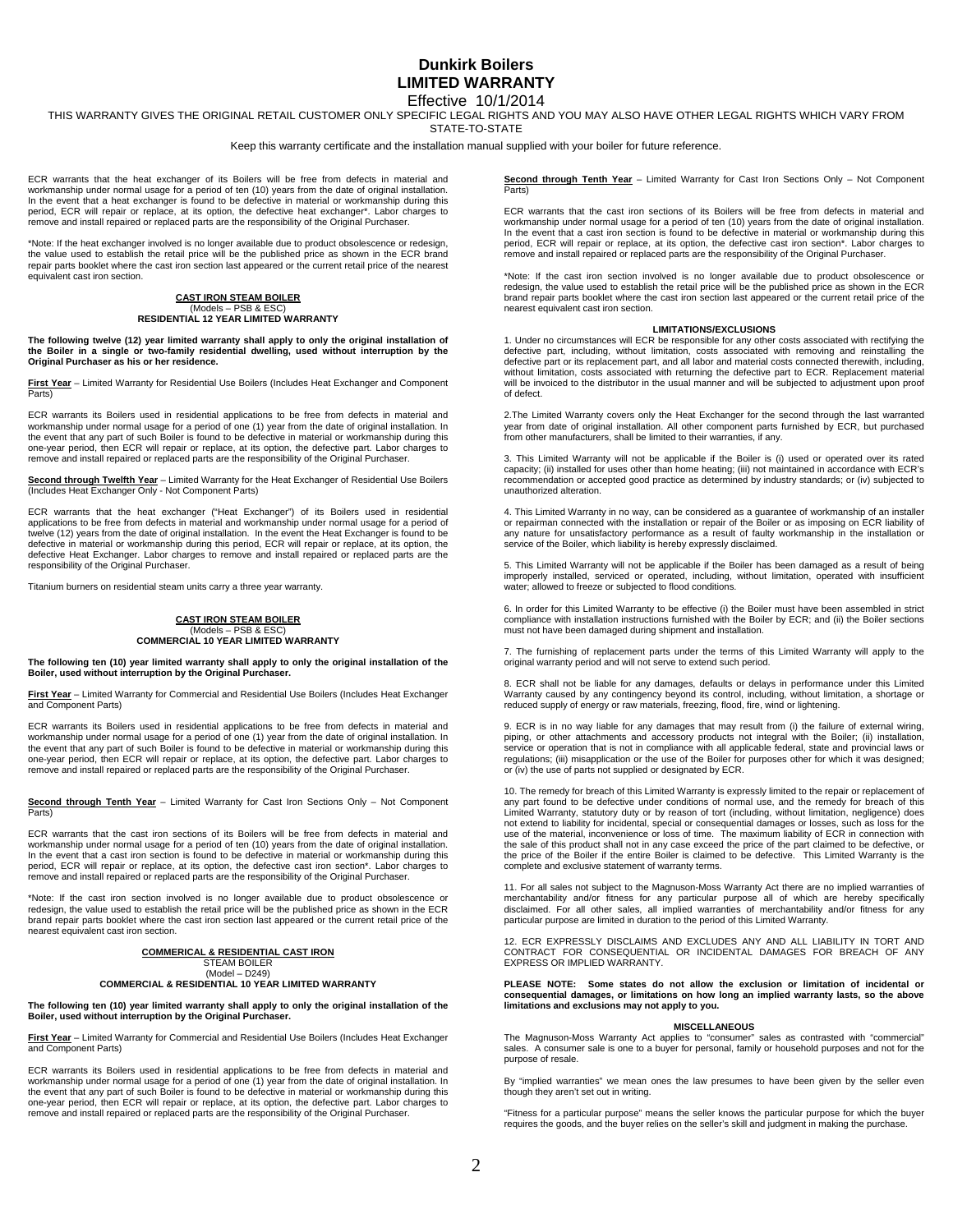# **Dunkirk Boilers LIMITED WARRANTY**  Effective 10/1/2014

THIS WARRANTY GIVES THE ORIGINAL RETAIL CUSTOMER ONLY SPECIFIC LEGAL RIGHTS AND YOU MAY ALSO HAVE OTHER LEGAL RIGHTS WHICH VARY FROM

STATE-TO-STATE

Keep this warranty certificate and the installation manual supplied with your boiler for future reference.

ECR warrants that the heat exchanger of its Boilers will be free from defects in material and workmanship under normal usage for a period of ten (10) years from the date of original installation. In the event that a heat exchanger is found to be defective in material or workmanship during this period, ECR will repair or replace, at its option, the defective heat exchanger\*. Labor charges to remove and install repaired or replaced parts are the responsibility of the Original Purchaser.

\*Note: If the heat exchanger involved is no longer available due to product obsolescence or redesign, the value used to establish the retail price will be the published price as shown in the ECR brand repair parts booklet where the cast iron section last appeared or the current retail price of the nearest equivalent cast iron section.

# **CAST IRON STEAM BOILER**

# (Models – PSB & ESC) **RESIDENTIAL 12 YEAR LIMITED WARRANTY**

**The following twelve (12) year limited warranty shall apply to only the original installation of the Boiler in a single or two-family residential dwelling, used without interruption by the Original Purchaser as his or her residence.** 

**First Year** – Limited Warranty for Residential Use Boilers (Includes Heat Exchanger and Component Parts)

ECR warrants its Boilers used in residential applications to be free from defects in material and workmanship under normal usage for a period of one (1) year from the date of original installation. In the event that any part of such Boiler is found to be defective in material or workmanship during this one-year period, then ECR will repair or replace, at its option, the defective part. Labor charges to remove and install repaired or replaced parts are the responsibility of the Original Purchaser.

**Second through Twelfth Year** – Limited Warranty for the Heat Exchanger of Residential Use Boilers<br>(Includes Heat Exchanger Only - Not Component Parts)

ECR warrants that the heat exchanger ("Heat Exchanger") of its Boilers used in residential applications to be free from defects in material and workmanship under normal usage for a period of twelve (12) years from the date of original installation. In the event the Heat Exchanger is found to be defective in material or workmanship during this period, ECR will repair or replace, at its option, the defective Heat Exchanger. Labor charges to remove and install repaired or replaced parts are the responsibility of the Original Purchaser.

Titanium burners on residential steam units carry a three year warranty.

### **CAST IRON STEAM BOILER PSB & ESC COMMERCIAL 10 YEAR LIMITED WARRANTY**

**The following ten (10) year limited warranty shall apply to only the original installation of the Boiler, used without interruption by the Original Purchaser.** 

**First Year** – Limited Warranty for Commercial and Residential Use Boilers (Includes Heat Exchanger and Component Parts)

ECR warrants its Boilers used in residential applications to be free from defects in material and workmanship under normal usage for a period of one (1) year from the date of original installation. In the event that any part of such Boiler is found to be defective in material or workmanship during this one-year period, then ECR will repair or replace, at its option, the defective part. Labor charges to remove and install repaired or replaced parts are the responsibility of the Original Purchaser.

**Second through Tenth Year** – Limited Warranty for Cast Iron Sections Only – Not Component Parts)

ECR warrants that the cast iron sections of its Boilers will be free from defects in material and workmanship under normal usage for a period of ten (10) years from the date of original installation. In the event that a cast iron section is found to be defective in material or workmanship during this period, ECR will repair or replace, at its option, the defective cast iron section\*. Labor charges to remove and install repaired or replaced parts are the responsibility of the Original Purchaser.

\*Note: If the cast iron section involved is no longer available due to product obsolescence or redesign, the value used to establish the retail price will be the published price as shown in the ECR brand repair parts booklet where the cast iron section last appeared or the current retail price of the nearest equivalent cast iron section.

> **COMMERICAL & RESIDENTIAL CAST IRON**  STEAM BOILER (Model – D249) **COMMERCIAL & RESIDENTIAL 10 YEAR LIMITED WARRANTY**

**The following ten (10) year limited warranty shall apply to only the original installation of the Boiler, used without interruption by the Original Purchaser.** 

**First Year** – Limited Warranty for Commercial and Residential Use Boilers (Includes Heat Exchanger and Component Parts)

ECR warrants its Boilers used in residential applications to be free from defects in material and workmanship under normal usage for a period of one (1) year from the date of original installation. In the event that any part of such Boiler is found to be defective in material or workmanship during this one-year period, then ECR will repair or replace, at its option, the defective part. Labor charges to remove and install repaired or replaced parts are the responsibility of the Original Purchaser. **Second through Tenth Year** – Limited Warranty for Cast Iron Sections Only – Not Component Parts)

ECR warrants that the cast iron sections of its Boilers will be free from defects in material and workmanship under normal usage for a period of ten (10) years from the date of original installation. In the event that a cast iron section is found to be defective in material or workmanship during this period, ECR will repair or replace, at its option, the defective cast iron section\*. Labor charges to remove and install repaired or replaced parts are the responsibility of the Original Purchaser.

\*Note: If the cast iron section involved is no longer available due to product obsolescence or redesign, the value used to establish the retail price will be the published price as shown in the ECR brand repair parts booklet where the cast iron section last appeared or the current retail price of the nearest equivalent cast iron section.

### **LIMITATIONS/EXCLUSIONS**

1. Under no circumstances will ECR be responsible for any other costs associated with rectifying the defective part, including, without limitation, costs associated with removing and reinstalling the defective part or its replacement part, and all labor and material costs connected therewith, including, without limitation, costs associated with returning the defective part to ECR. Replacement material will be invoiced to the distributor in the usual manner and will be subjected to adjustment upon proof of defect.

2.The Limited Warranty covers only the Heat Exchanger for the second through the last warranted year from date of original installation. All other component parts furnished by ECR, but purchased from other manufacturers, shall be limited to their warranties, if any.

3. This Limited Warranty will not be applicable if the Boiler is (i) used or operated over its rated capacity; (ii) installed for uses other than home heating; (iii) not maintained in accordance with ECR's recommendation or accepted good practice as determined by industry standards; or (iv) subjected to unauthorized alteration.

4. This Limited Warranty in no way, can be considered as a guarantee of workmanship of an installer or repairman connected with the installation or repair of the Boiler or as imposing on ECR liability of any nature for unsatisfactory performance as a result of faulty workmanship in the installation or service of the Boiler, which liability is hereby expressly disclaimed.

5. This Limited Warranty will not be applicable if the Boiler has been damaged as a result of being improperly installed, serviced or operated, including, without limitation, operated with insufficient water; allowed to freeze or subjected to flood conditions.

6. In order for this Limited Warranty to be effective (i) the Boiler must have been assembled in strict compliance with installation instructions furnished with the Boiler by ECR; and (ii) the Boiler sections must not have been damaged during shipment and installation.

7. The furnishing of replacement parts under the terms of this Limited Warranty will apply to the original warranty period and will not serve to extend such period.

8. ECR shall not be liable for any damages, defaults or delays in performance under this Limited Warranty caused by any contingency beyond its control, including, without limitation, a shortage or reduced supply of energy or raw materials, freezing, flood, fire, wind or lightening.

9. ECR is in no way liable for any damages that may result from (i) the failure of external wiring, piping, or other attachments and accessory products not integral with the Boiler; (ii) installation,<br>service or operation that is not in compliance with all applicable federal, state and provincial laws or regulations; (iii) misapplication or the use of the Boiler for purposes other for which it was designed; or (iv) the use of parts not supplied or designated by ECR.

10. The remedy for breach of this Limited Warranty is expressly limited to the repair or replacement of any part found to be defective under conditions of normal use, and the remedy for breach of this Limited Warranty, statutory duty or by reason of tort (including, without limitation, negligence) does not extend to liability for incidental, special or consequential damages or losses, such as loss for the use of the material, inconvenience or loss of time. The maximum liability of ECR in connection with the sale of this product shall not in any case exceed the price of the part claimed to be defective, or the price of the Boiler if the entire Boiler is claimed to be defective. This Limited Warranty is the complete and exclusive statement of warranty terms.

11. For all sales not subject to the Magnuson-Moss Warranty Act there are no implied warranties of merchantability and/or fitness for any particular purpose all of which are hereby specifically disclaimed. For all other sales, all implied warranties of merchantability and/or fitness for any particular purpose are limited in duration to the period of this Limited Warranty.

12. ECR EXPRESSLY DISCLAIMS AND EXCLUDES ANY AND ALL LIABILITY IN TORT AND CONTRACT FOR CONSEQUENTIAL OR INCIDENTAL DAMAGES FOR BREACH OF ANY EXPRESS OR IMPLIED WARRANTY.

### **PLEASE NOTE: Some states do not allow the exclusion or limitation of incidental or consequential damages, or limitations on how long an implied warranty lasts, so the above limitations and exclusions may not apply to you.**

### **MISCELLANEOUS**

The Magnuson-Moss Warranty Act applies to "consumer" sales as contrasted with "commercial" sales. A consumer sale is one to a buyer for personal, family or household purposes and not for the purpose of resale.

By "implied warranties" we mean ones the law presumes to have been given by the seller even though they aren't set out in writing.

"Fitness for a particular purpose" means the seller knows the particular purpose for which the buyer requires the goods, and the buyer relies on the seller's skill and judgment in making the purchase.